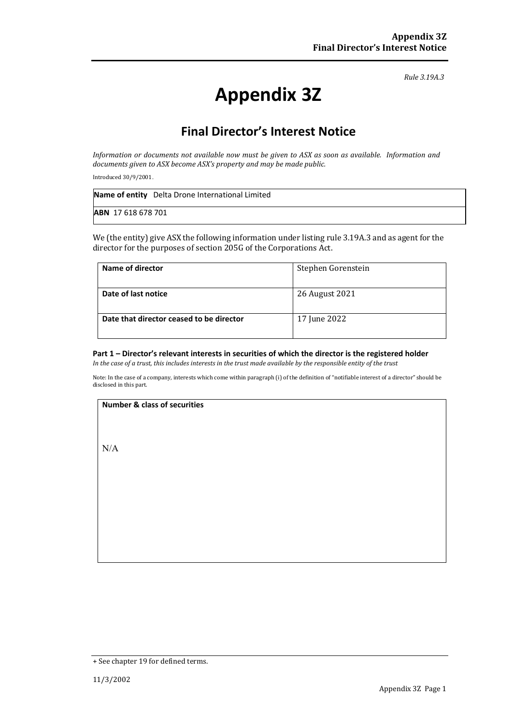*Rule 3.19A.3*

# **Appendix 3Z**

## **Final Director's Interest Notice**

*Information or documents not available now must be given to ASX as soon as available. Information and documents given to ASX become ASX's property and may be made public.*

Introduced 30/9/2001.

|                           | Name of entity Delta Drone International Limited |
|---------------------------|--------------------------------------------------|
| <b>ABN</b> 17 618 678 701 |                                                  |

We (the entity) give ASX the following information under listing rule 3.19A.3 and as agent for the director for the purposes of section 205G of the Corporations Act.

| Name of director                         | Stephen Gorenstein |
|------------------------------------------|--------------------|
| Date of last notice                      | 26 August 2021     |
| Date that director ceased to be director | 17 June 2022       |

#### **Part 1 – Director's relevant interests in securities of which the director is the registered holder**

*In the case of a trust, this includes interests in the trust made available by the responsible entity of the trust*

Note: In the case of a company, interests which come within paragraph (i) of the definition of "notifiable interest of a director" should be disclosed in this part.

#### **Number & class of securities**

N/A

<sup>+</sup> See chapter 19 for defined terms.